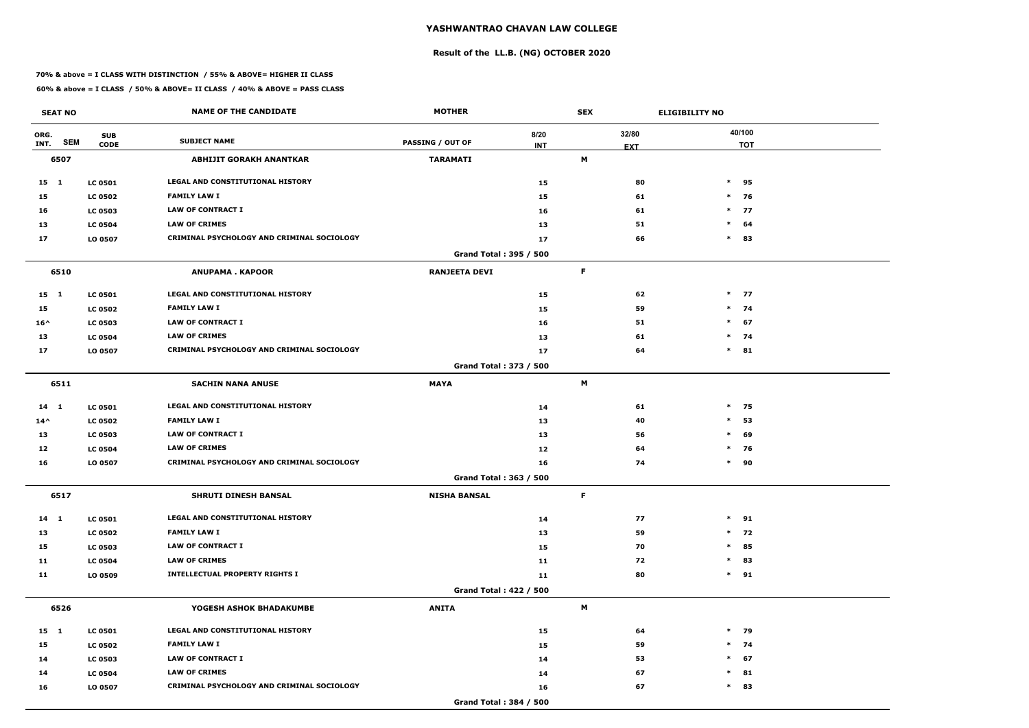# **Result of the LL.B. (NG) OCTOBER 2020**

### **70% & above = I CLASS WITH DISTINCTION / 55% & ABOVE= HIGHER II CLASS**

| <b>SEAT NO</b>             |                           | <b>NAME OF THE CANDIDATE</b>               | <b>MOTHER</b>           |                    | <b>SEX</b> |                     | <b>ELIGIBILITY NO</b> |
|----------------------------|---------------------------|--------------------------------------------|-------------------------|--------------------|------------|---------------------|-----------------------|
| ORG.<br><b>SEM</b><br>INT. | <b>SUB</b><br><b>CODE</b> | <b>SUBJECT NAME</b>                        | <b>PASSING / OUT OF</b> | 8/20<br><b>INT</b> |            | 32/80<br><b>EXT</b> | 40/100<br><b>TOT</b>  |
| 6507                       |                           | <b>ABHIJIT GORAKH ANANTKAR</b>             | <b>TARAMATI</b>         |                    | M          |                     |                       |
| $15 \quad 1$               | <b>LC 0501</b>            | <b>LEGAL AND CONSTITUTIONAL HISTORY</b>    |                         | 15                 |            | 80                  | $\ast$<br>95          |
| 15                         | <b>LC 0502</b>            | <b>FAMILY LAW I</b>                        |                         | 15                 |            | 61                  | $*$ 76                |
| 16                         | <b>LC 0503</b>            | <b>LAW OF CONTRACT I</b>                   |                         | 16                 |            | 61                  | $\ast$<br>77          |
| 13                         | <b>LC 0504</b>            | <b>LAW OF CRIMES</b>                       |                         | 13                 |            | 51                  | $\ast$<br>64          |
| 17                         | LO 0507                   | CRIMINAL PSYCHOLOGY AND CRIMINAL SOCIOLOGY |                         | 17                 |            | 66                  | $\ast$<br>83          |
|                            |                           |                                            | Grand Total: 395 / 500  |                    |            |                     |                       |
| 6510                       |                           | <b>ANUPAMA. KAPOOR</b>                     | <b>RANJEETA DEVI</b>    |                    | F          |                     |                       |
| $15 \quad 1$               | <b>LC 0501</b>            | LEGAL AND CONSTITUTIONAL HISTORY           |                         | 15                 |            | 62                  | $*$ 77                |
| 15                         | <b>LC 0502</b>            | <b>FAMILY LAW I</b>                        |                         | 15                 |            | 59                  | $*$ 74                |
| $16^{\wedge}$              | <b>LC 0503</b>            | <b>LAW OF CONTRACT I</b>                   |                         | 16                 |            | 51                  | $*$ 67                |
| 13                         | <b>LC 0504</b>            | <b>LAW OF CRIMES</b>                       |                         | 13                 |            | 61                  | $*$ 74                |
| 17                         | LO 0507                   | CRIMINAL PSYCHOLOGY AND CRIMINAL SOCIOLOGY |                         | 17                 |            | 64                  | $\ast$<br>81          |
|                            |                           |                                            | Grand Total: 373 / 500  |                    |            |                     |                       |
| 6511                       |                           | <b>SACHIN NANA ANUSE</b>                   | <b>MAYA</b>             |                    | M          |                     |                       |
| 14 1                       | <b>LC 0501</b>            | LEGAL AND CONSTITUTIONAL HISTORY           |                         | 14                 |            | 61                  | $*$ 75                |
| $14^{\wedge}$              | <b>LC 0502</b>            | <b>FAMILY LAW I</b>                        |                         | 13                 |            | 40                  | $\ast$<br>53          |
| 13                         | <b>LC 0503</b>            | <b>LAW OF CONTRACT I</b>                   |                         | 13                 |            | 56                  | $\ast$<br>69          |
| 12                         | <b>LC 0504</b>            | <b>LAW OF CRIMES</b>                       |                         | 12                 |            | 64                  | $*$ 76                |
| 16                         | LO 0507                   | CRIMINAL PSYCHOLOGY AND CRIMINAL SOCIOLOGY |                         | 16                 |            | 74                  | $\ast$<br>90          |
|                            |                           |                                            | Grand Total: 363 / 500  |                    |            |                     |                       |
| 6517                       |                           | <b>SHRUTI DINESH BANSAL</b>                | <b>NISHA BANSAL</b>     |                    | F          |                     |                       |
| $14 \quad 1$               | <b>LC 0501</b>            | LEGAL AND CONSTITUTIONAL HISTORY           |                         | 14                 |            | 77                  | $*$ 91                |
| 13                         | <b>LC 0502</b>            | <b>FAMILY LAW I</b>                        |                         | 13                 |            | 59                  | $*$ 72                |
| 15                         | <b>LC 0503</b>            | <b>LAW OF CONTRACT I</b>                   |                         | 15                 |            | 70                  | $\ast$<br>85          |
| 11                         | <b>LC 0504</b>            | <b>LAW OF CRIMES</b>                       |                         | 11                 |            | 72                  | 83<br>$\ast$          |
| 11                         | LO 0509                   | <b>INTELLECTUAL PROPERTY RIGHTS I</b>      |                         | 11                 |            | 80                  | $*$ 91                |
|                            |                           |                                            | Grand Total: 422 / 500  |                    |            |                     |                       |
| 6526                       |                           | YOGESH ASHOK BHADAKUMBE                    | <b>ANITA</b>            |                    | M          |                     |                       |
| $15 \quad 1$               | <b>LC 0501</b>            | LEGAL AND CONSTITUTIONAL HISTORY           |                         | 15                 |            | 64                  | $*$ 79                |
| 15                         | <b>LC 0502</b>            | <b>FAMILY LAW I</b>                        |                         | 15                 |            | 59                  | $*$ 74                |
| 14                         | <b>LC 0503</b>            | LAW OF CONTRACT I                          |                         | 14                 |            | 53                  | $\ast$<br>67          |
| 14                         | <b>LC 0504</b>            | <b>LAW OF CRIMES</b>                       |                         | 14                 |            | 67                  | $*$ 81                |
| 16                         | LO 0507                   | CRIMINAL PSYCHOLOGY AND CRIMINAL SOCIOLOGY |                         | 16                 |            | 67                  | $\ast$<br>83          |
|                            |                           |                                            | Grand Total: 384 / 500  |                    |            |                     |                       |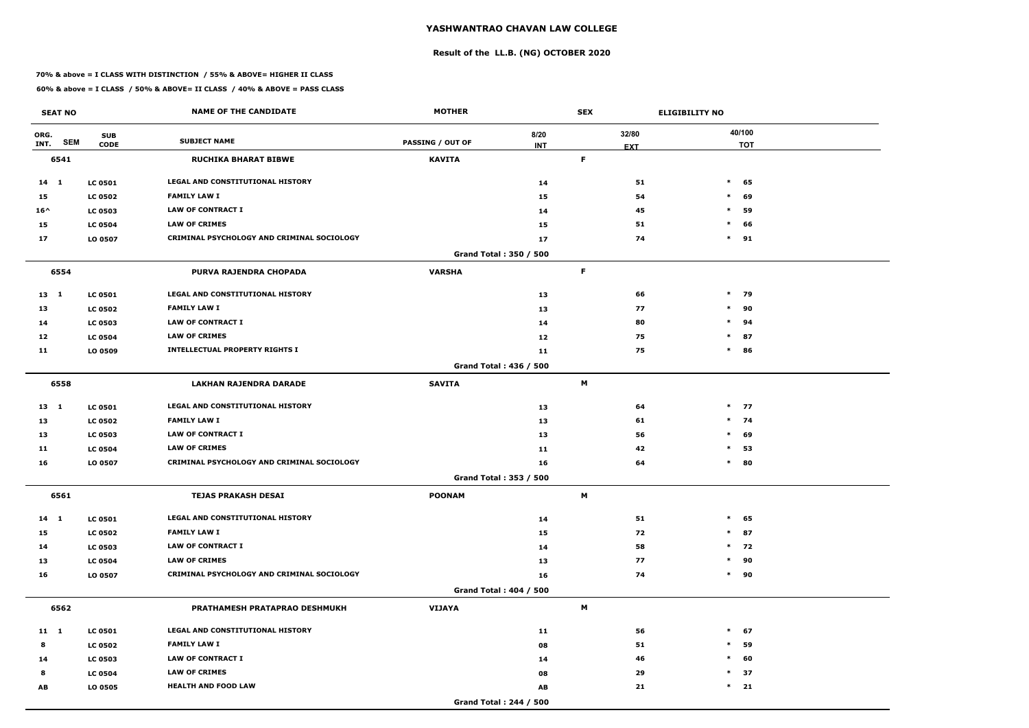# **Result of the LL.B. (NG) OCTOBER 2020**

### **70% & above = I CLASS WITH DISTINCTION / 55% & ABOVE= HIGHER II CLASS**

| <b>SEAT NO</b>             |                           | <b>NAME OF THE CANDIDATE</b>                      | <b>MOTHER</b>           |                        | <b>SEX</b> |                     | <b>ELIGIBILITY NO</b> |
|----------------------------|---------------------------|---------------------------------------------------|-------------------------|------------------------|------------|---------------------|-----------------------|
| ORG.<br><b>SEM</b><br>INT. | <b>SUB</b><br><b>CODE</b> | <b>SUBJECT NAME</b>                               | <b>PASSING / OUT OF</b> | 8/20<br><b>INT</b>     |            | 32/80<br><b>EXT</b> | 40/100<br><b>TOT</b>  |
| 6541                       |                           | <b>RUCHIKA BHARAT BIBWE</b>                       | <b>KAVITA</b>           |                        | F          |                     |                       |
| $14$ 1                     | <b>LC 0501</b>            | LEGAL AND CONSTITUTIONAL HISTORY                  |                         | 14                     |            | 51                  | $\ast$<br>65          |
| 15                         | <b>LC 0502</b>            | <b>FAMILY LAW I</b>                               |                         | 15                     |            | 54                  | $\ast$<br>69          |
| $16^{\wedge}$              | <b>LC 0503</b>            | <b>LAW OF CONTRACT I</b>                          |                         | 14                     |            | 45                  | $\ast$<br>59          |
| 15                         | <b>LC 0504</b>            | <b>LAW OF CRIMES</b>                              |                         | 15                     |            | 51                  | $\ast$<br>66          |
| 17                         | LO 0507                   | <b>CRIMINAL PSYCHOLOGY AND CRIMINAL SOCIOLOGY</b> |                         | 17                     |            | 74                  | $\ast$<br>91          |
|                            |                           |                                                   |                         | Grand Total: 350 / 500 |            |                     |                       |
| 6554                       |                           | PURVA RAJENDRA CHOPADA                            | <b>VARSHA</b>           |                        | F          |                     |                       |
| 13 1                       | <b>LC 0501</b>            | LEGAL AND CONSTITUTIONAL HISTORY                  |                         | 13                     |            | 66                  | $*$ 79                |
| 13                         | <b>LC 0502</b>            | <b>FAMILY LAW I</b>                               |                         | 13                     |            | 77                  | $\ast$<br>90          |
| 14                         | <b>LC 0503</b>            | <b>LAW OF CONTRACT I</b>                          |                         | 14                     |            | 80                  | $\ast$<br>94          |
| 12                         | <b>LC 0504</b>            | <b>LAW OF CRIMES</b>                              |                         | 12                     |            | 75                  | 87<br>$\ast$          |
| 11                         | LO 0509                   | <b>INTELLECTUAL PROPERTY RIGHTS I</b>             |                         | 11                     |            | 75                  | $\ast$<br>86          |
|                            |                           |                                                   |                         | Grand Total: 436 / 500 |            |                     |                       |
| 6558                       |                           | LAKHAN RAJENDRA DARADE                            | <b>SAVITA</b>           |                        | M          |                     |                       |
| $13 \quad 1$               | <b>LC 0501</b>            | <b>LEGAL AND CONSTITUTIONAL HISTORY</b>           |                         | 13                     |            | 64                  | $*$ 77                |
| 13                         | <b>LC 0502</b>            | <b>FAMILY LAW I</b>                               |                         | 13                     |            | 61                  | $*$ 74                |
| 13                         | <b>LC 0503</b>            | <b>LAW OF CONTRACT I</b>                          |                         | 13                     |            | 56                  | $\ast$<br>69          |
| 11                         | <b>LC 0504</b>            | <b>LAW OF CRIMES</b>                              |                         | 11                     |            | 42                  | $\ast$<br>53          |
| 16                         | LO 0507                   | CRIMINAL PSYCHOLOGY AND CRIMINAL SOCIOLOGY        |                         | 16                     |            | 64                  | $\ast$<br>80          |
|                            |                           |                                                   |                         | Grand Total: 353 / 500 |            |                     |                       |
| 6561                       |                           | <b>TEJAS PRAKASH DESAI</b>                        | <b>POONAM</b>           |                        | M          |                     |                       |
| $14 \quad 1$               | <b>LC 0501</b>            | LEGAL AND CONSTITUTIONAL HISTORY                  |                         | 14                     |            | 51                  | $\ast$<br>65          |
| 15                         | <b>LC 0502</b>            | <b>FAMILY LAW I</b>                               |                         | 15                     |            | 72                  | 87<br>$\ast$          |
| 14                         | <b>LC 0503</b>            | LAW OF CONTRACT I                                 |                         | 14                     |            | 58                  | $*$ 72                |
| 13                         | <b>LC 0504</b>            | <b>LAW OF CRIMES</b>                              |                         | 13                     |            | 77                  | 90<br>$\ast$          |
| 16                         | LO 0507                   | CRIMINAL PSYCHOLOGY AND CRIMINAL SOCIOLOGY        |                         | 16                     |            | 74                  | 90<br>$\ast$          |
|                            |                           |                                                   |                         | Grand Total: 404 / 500 |            |                     |                       |
| 6562                       |                           | PRATHAMESH PRATAPRAO DESHMUKH                     | VIJAYA                  |                        | M          |                     |                       |
| $11 \quad 1$               | <b>LC 0501</b>            | LEGAL AND CONSTITUTIONAL HISTORY                  |                         | 11                     |            | 56                  | $\ast$<br>67          |
| 8                          | <b>LC 0502</b>            | <b>FAMILY LAW I</b>                               |                         | 08                     |            | 51                  | 59<br>$\ast$          |
| 14                         | <b>LC 0503</b>            | LAW OF CONTRACT I                                 |                         | 14                     |            | 46                  | $\ast$<br>60          |
| 8                          | <b>LC 0504</b>            | <b>LAW OF CRIMES</b>                              |                         | 08                     |            | 29                  | 37<br>$\ast$          |
| AB                         | <b>LO 0505</b>            | <b>HEALTH AND FOOD LAW</b>                        |                         | AB                     |            | 21                  | $\ast$<br>21          |
|                            |                           |                                                   |                         | Grand Total: 244 / 500 |            |                     |                       |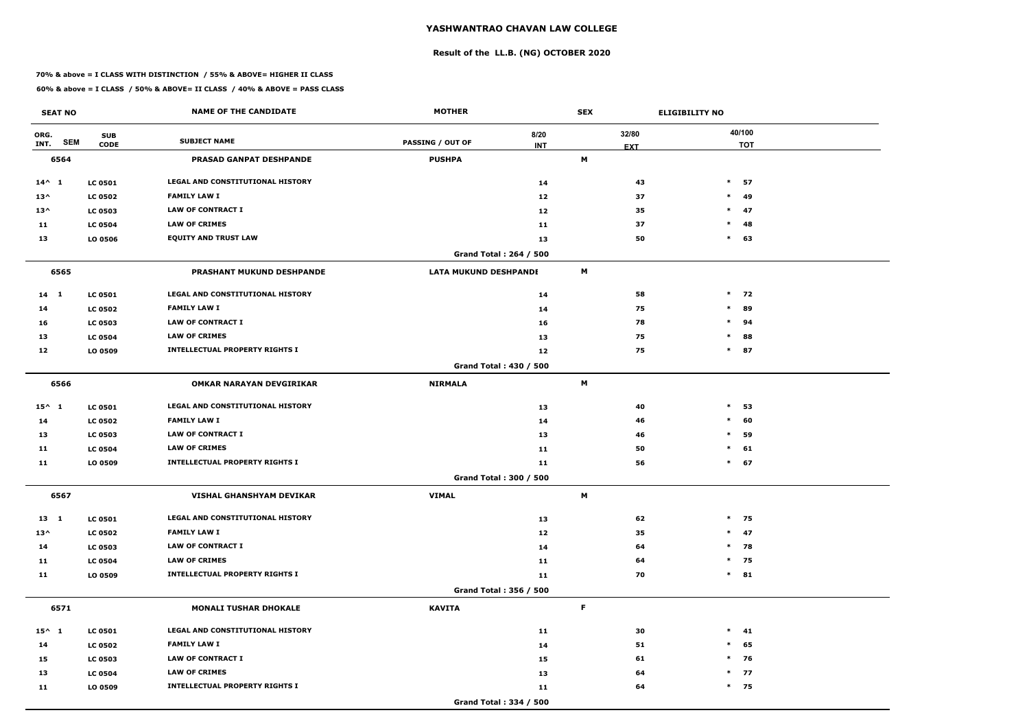# **Result of the LL.B. (NG) OCTOBER 2020**

### **70% & above = I CLASS WITH DISTINCTION / 55% & ABOVE= HIGHER II CLASS**

| <b>SEAT NO</b>             |                           | <b>NAME OF THE CANDIDATE</b>            | <b>MOTHER</b>                |                        | <b>SEX</b>                |                     | <b>ELIGIBILITY NO</b> |
|----------------------------|---------------------------|-----------------------------------------|------------------------------|------------------------|---------------------------|---------------------|-----------------------|
| ORG.<br><b>SEM</b><br>INT. | <b>SUB</b><br><b>CODE</b> | <b>SUBJECT NAME</b>                     | <b>PASSING / OUT OF</b>      | 8/20<br><b>INT</b>     |                           | 32/80<br><b>EXT</b> | 40/100<br><b>TOT</b>  |
| 6564                       |                           | <b>PRASAD GANPAT DESHPANDE</b>          | <b>PUSHPA</b>                |                        | M                         |                     |                       |
| $14^{\wedge} 1$            | <b>LC 0501</b>            | <b>LEGAL AND CONSTITUTIONAL HISTORY</b> |                              | 14                     |                           | 43                  | $\ast$<br>57          |
| $13^{\wedge}$              | <b>LC 0502</b>            | <b>FAMILY LAW I</b>                     |                              | 12                     |                           | 37                  | $\ast$<br>-49         |
| $13^{\wedge}$              | <b>LC 0503</b>            | <b>LAW OF CONTRACT I</b>                |                              | 12                     |                           | 35                  | $\ast$<br>47          |
| 11                         | <b>LC 0504</b>            | <b>LAW OF CRIMES</b>                    |                              | 11                     |                           | 37                  | $\ast$<br>48          |
| 13                         | LO 0506                   | <b>EQUITY AND TRUST LAW</b>             |                              | 13                     |                           | 50                  | $\ast$<br>63          |
|                            |                           |                                         |                              | Grand Total: 264 / 500 |                           |                     |                       |
| 6565                       |                           | PRASHANT MUKUND DESHPANDE               | <b>LATA MUKUND DESHPANDE</b> |                        | $\boldsymbol{\mathsf{M}}$ |                     |                       |
| $14 \quad 1$               | <b>LC 0501</b>            | LEGAL AND CONSTITUTIONAL HISTORY        |                              | 14                     |                           | 58                  | $*$ 72                |
| 14                         | <b>LC 0502</b>            | <b>FAMILY LAW I</b>                     |                              | 14                     |                           | 75                  | $\ast$<br>89          |
| 16                         | <b>LC 0503</b>            | <b>LAW OF CONTRACT I</b>                |                              | 16                     |                           | 78                  | $\ast$<br>94          |
| 13                         | <b>LC 0504</b>            | <b>LAW OF CRIMES</b>                    |                              | 13                     |                           | 75                  | 88<br>$\ast$          |
| 12                         | LO 0509                   | <b>INTELLECTUAL PROPERTY RIGHTS I</b>   |                              | 12                     |                           | 75                  | $\ast$<br>87          |
|                            |                           |                                         |                              | Grand Total: 430 / 500 |                           |                     |                       |
| 6566                       |                           | <b>OMKAR NARAYAN DEVGIRIKAR</b>         | <b>NIRMALA</b>               |                        | M                         |                     |                       |
| $15^{\wedge} 1$            | <b>LC 0501</b>            | <b>LEGAL AND CONSTITUTIONAL HISTORY</b> |                              | 13                     |                           | 40                  | $\ast$<br>53          |
| 14                         | <b>LC 0502</b>            | <b>FAMILY LAW I</b>                     |                              | 14                     |                           | 46                  | $\ast$<br>60          |
| 13                         | <b>LC 0503</b>            | <b>LAW OF CONTRACT I</b>                |                              | 13                     |                           | 46                  | $\ast$<br>59          |
| 11                         | <b>LC 0504</b>            | <b>LAW OF CRIMES</b>                    |                              | 11                     |                           | 50                  | $\ast$<br>61          |
| 11                         | LO 0509                   | <b>INTELLECTUAL PROPERTY RIGHTS I</b>   |                              | 11                     |                           | 56                  | $\ast$<br>67          |
|                            |                           |                                         |                              | Grand Total: 300 / 500 |                           |                     |                       |
| 6567                       |                           | VISHAL GHANSHYAM DEVIKAR                | <b>VIMAL</b>                 |                        | M                         |                     |                       |
| $13 \quad 1$               | <b>LC 0501</b>            | LEGAL AND CONSTITUTIONAL HISTORY        |                              | 13                     |                           | 62                  | $*$ 75                |
| $13^{\wedge}$              | <b>LC 0502</b>            | <b>FAMILY LAW I</b>                     |                              | 12                     |                           | 35                  | $*$ 47                |
| 14                         | <b>LC 0503</b>            | LAW OF CONTRACT I                       |                              | 14                     |                           | 64                  | $*$ 78                |
| 11                         | <b>LC 0504</b>            | <b>LAW OF CRIMES</b>                    |                              | 11                     |                           | 64                  | $*$ 75                |
| 11                         | LO 0509                   | <b>INTELLECTUAL PROPERTY RIGHTS I</b>   |                              | 11                     |                           | 70                  | $*$ 81                |
|                            |                           |                                         |                              | Grand Total: 356 / 500 |                           |                     |                       |
| 6571                       |                           | <b>MONALI TUSHAR DHOKALE</b>            | <b>KAVITA</b>                |                        | $\mathsf F$               |                     |                       |
| $15^{\wedge}$ 1            | <b>LC 0501</b>            | LEGAL AND CONSTITUTIONAL HISTORY        |                              | 11                     |                           | 30                  | $*$ 41                |
| 14                         | <b>LC 0502</b>            | <b>FAMILY LAW I</b>                     |                              | 14                     |                           | 51                  | $\ast$<br>65          |
| 15                         | <b>LC 0503</b>            | LAW OF CONTRACT I                       |                              | 15                     |                           | 61                  | $*$ 76                |
| 13                         | <b>LC 0504</b>            | <b>LAW OF CRIMES</b>                    |                              | 13                     |                           | 64                  | $*$ 77                |
| 11                         | LO 0509                   | <b>INTELLECTUAL PROPERTY RIGHTS I</b>   |                              | 11                     |                           | 64                  | $*$ 75                |
|                            |                           |                                         |                              | Grand Total: 334 / 500 |                           |                     |                       |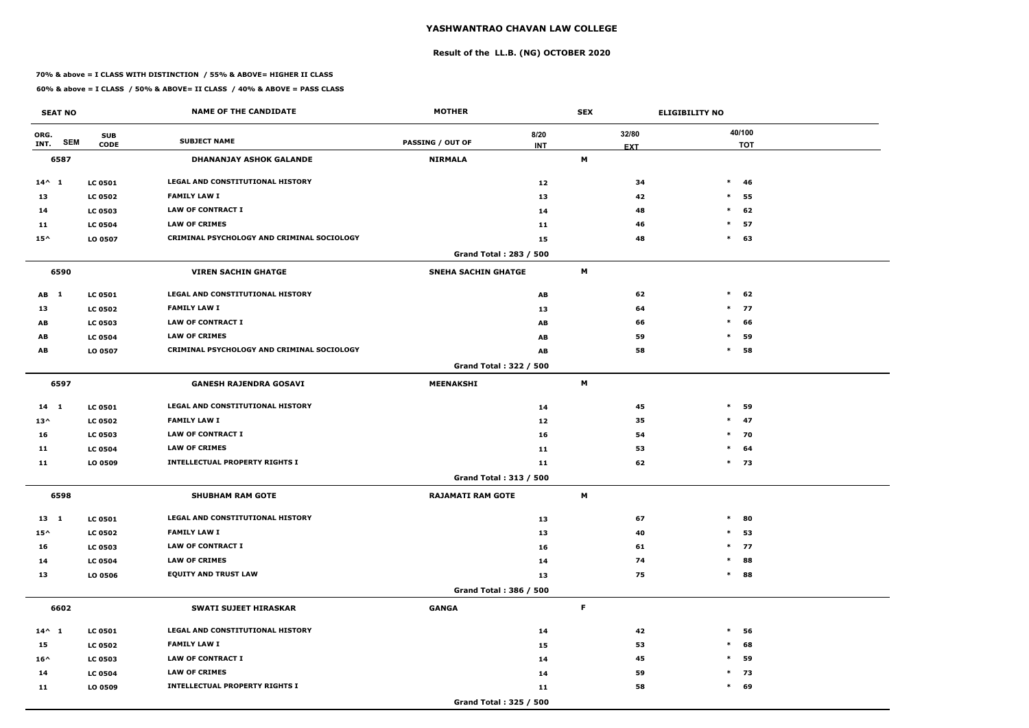# **Result of the LL.B. (NG) OCTOBER 2020**

### **70% & above = I CLASS WITH DISTINCTION / 55% & ABOVE= HIGHER II CLASS**

| <b>SEAT NO</b>             |                           | <b>NAME OF THE CANDIDATE</b>               | <b>MOTHER</b>                 |                    | <b>SEX</b>  |                     | <b>ELIGIBILITY NO</b> |
|----------------------------|---------------------------|--------------------------------------------|-------------------------------|--------------------|-------------|---------------------|-----------------------|
| ORG.<br><b>SEM</b><br>INT. | <b>SUB</b><br><b>CODE</b> | <b>SUBJECT NAME</b>                        | <b>PASSING / OUT OF</b>       | 8/20<br><b>INT</b> |             | 32/80<br><b>EXT</b> | 40/100<br><b>TOT</b>  |
| 6587                       |                           | <b>DHANANJAY ASHOK GALANDE</b>             | <b>NIRMALA</b>                |                    | M           |                     |                       |
| $14^{\wedge} 1$            | <b>LC 0501</b>            | LEGAL AND CONSTITUTIONAL HISTORY           |                               | 12                 |             | 34                  | $\ast$<br>46          |
| 13                         | <b>LC 0502</b>            | <b>FAMILY LAW I</b>                        |                               | 13                 |             | 42                  | $\ast$<br>55          |
| 14                         | <b>LC 0503</b>            | <b>LAW OF CONTRACT I</b>                   |                               | 14                 |             | 48                  | $\ast$<br>62          |
| 11                         | <b>LC 0504</b>            | <b>LAW OF CRIMES</b>                       |                               | 11                 |             | 46                  | $\ast$<br>57          |
| $15^{\wedge}$              | LO 0507                   | CRIMINAL PSYCHOLOGY AND CRIMINAL SOCIOLOGY |                               | 15                 |             | 48                  | $\ast$<br>63          |
|                            |                           |                                            | Grand Total: 283 / 500        |                    |             |                     |                       |
| 6590                       |                           | <b>VIREN SACHIN GHATGE</b>                 | <b>SNEHA SACHIN GHATGE</b>    |                    | M           |                     |                       |
| AB 1                       | <b>LC 0501</b>            | LEGAL AND CONSTITUTIONAL HISTORY           |                               | AB                 |             | 62                  | $\ast$<br>62          |
| 13                         | <b>LC 0502</b>            | <b>FAMILY LAW I</b>                        |                               | 13                 |             | 64                  | $\ast$<br>77          |
| AB                         | <b>LC 0503</b>            | <b>LAW OF CONTRACT I</b>                   |                               | AB                 |             | 66                  | $\ast$<br>66          |
| AB                         | <b>LC 0504</b>            | <b>LAW OF CRIMES</b>                       |                               | AB                 |             | 59                  | 59<br>$\ast$          |
| AB                         | LO 0507                   | CRIMINAL PSYCHOLOGY AND CRIMINAL SOCIOLOGY |                               | AB                 |             | 58                  | $\ast$<br>58          |
|                            |                           |                                            | Grand Total: 322 / 500        |                    |             |                     |                       |
| 6597                       |                           | <b>GANESH RAJENDRA GOSAVI</b>              | <b>MEENAKSHI</b>              |                    | M           |                     |                       |
| 14 1                       | <b>LC 0501</b>            | LEGAL AND CONSTITUTIONAL HISTORY           |                               | 14                 |             | 45                  | $\ast$<br>59          |
| $13^{\wedge}$              | <b>LC 0502</b>            | <b>FAMILY LAW I</b>                        |                               | 12                 |             | 35                  | $\ast$<br>47          |
| 16                         | <b>LC 0503</b>            | <b>LAW OF CONTRACT I</b>                   |                               | 16                 |             | 54                  | $*$ 70                |
| 11                         | <b>LC 0504</b>            | <b>LAW OF CRIMES</b>                       |                               | 11                 |             | 53                  | $\ast$<br>64          |
| 11                         | LO 0509                   | <b>INTELLECTUAL PROPERTY RIGHTS I</b>      |                               | 11                 |             | 62                  | $*$ 73                |
|                            |                           |                                            | <b>Grand Total: 313 / 500</b> |                    |             |                     |                       |
| 6598                       |                           | <b>SHUBHAM RAM GOTE</b>                    | <b>RAJAMATI RAM GOTE</b>      |                    | M           |                     |                       |
| $13 \quad 1$               | <b>LC 0501</b>            | LEGAL AND CONSTITUTIONAL HISTORY           |                               | 13                 |             | 67                  | $\ast$<br>80          |
| $15^{\wedge}$              | <b>LC 0502</b>            | <b>FAMILY LAW I</b>                        |                               | 13                 |             | 40                  | 53<br>$\ast$          |
| 16                         | <b>LC 0503</b>            | LAW OF CONTRACT I                          |                               | 16                 |             | 61                  | $*$ 77                |
| 14                         | <b>LC 0504</b>            | <b>LAW OF CRIMES</b>                       |                               | 14                 |             | 74                  | 88<br>$\ast$          |
| 13                         | LO 0506                   | <b>EQUITY AND TRUST LAW</b>                |                               | 13                 |             | 75                  | 88<br>$\ast$          |
|                            |                           |                                            | Grand Total: 386 / 500        |                    |             |                     |                       |
| 6602                       |                           | <b>SWATI SUJEET HIRASKAR</b>               | <b>GANGA</b>                  |                    | $\mathsf F$ |                     |                       |
| $14^{\wedge} 1$            | <b>LC 0501</b>            | LEGAL AND CONSTITUTIONAL HISTORY           |                               | 14                 |             | 42                  | $\ast$<br>56          |
| 15                         | <b>LC 0502</b>            | <b>FAMILY LAW I</b>                        |                               | 15                 |             | 53                  | $\ast$<br>68          |
| $16^{\wedge}$              | <b>LC 0503</b>            | LAW OF CONTRACT I                          |                               | 14                 |             | 45                  | $\ast$<br>59          |
| 14                         | <b>LC 0504</b>            | <b>LAW OF CRIMES</b>                       |                               | 14                 |             | 59                  | $*$ 73                |
| 11                         | LO 0509                   | <b>INTELLECTUAL PROPERTY RIGHTS I</b>      |                               | 11                 |             | 58                  | $\ast$<br>69          |
|                            |                           |                                            | Grand Total: 325 / 500        |                    |             |                     |                       |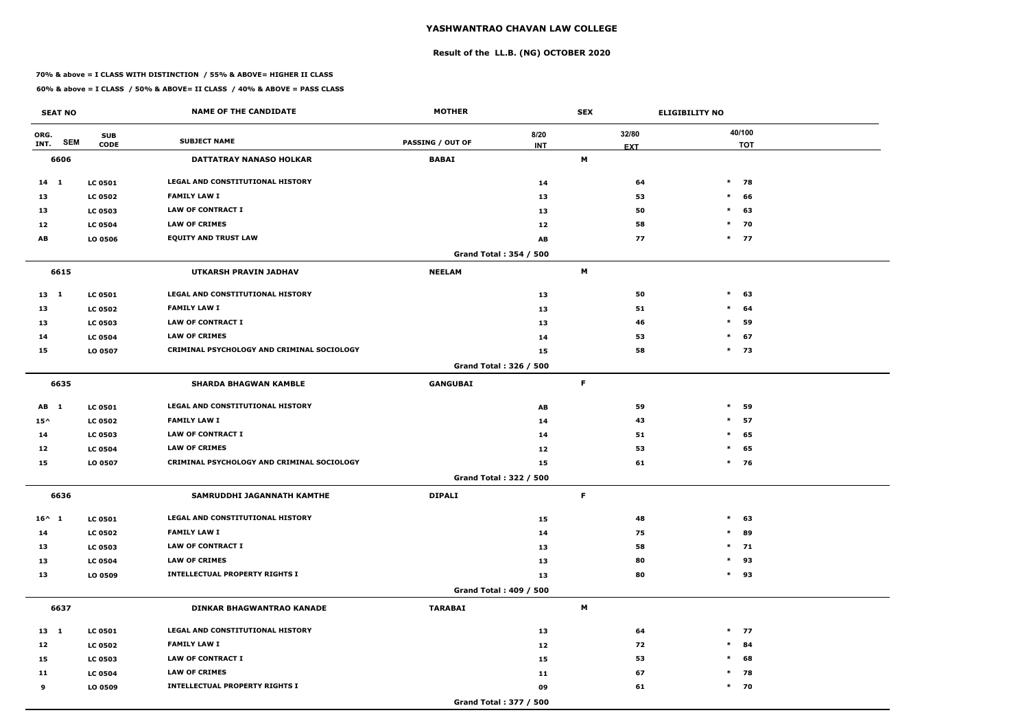# **Result of the LL.B. (NG) OCTOBER 2020**

### **70% & above = I CLASS WITH DISTINCTION / 55% & ABOVE= HIGHER II CLASS**

| <b>SEAT NO</b>     |                | <b>NAME OF THE CANDIDATE</b>               | <b>MOTHER</b>           |                        | <b>SEX</b> |            | <b>ELIGIBILITY NO</b> |
|--------------------|----------------|--------------------------------------------|-------------------------|------------------------|------------|------------|-----------------------|
| ORG.               | <b>SUB</b>     |                                            |                         | 8/20                   |            | 32/80      | 40/100                |
| <b>SEM</b><br>INT. | <b>CODE</b>    | <b>SUBJECT NAME</b>                        | <b>PASSING / OUT OF</b> | <b>INT</b>             |            | <b>EXT</b> | <b>TOT</b>            |
| 6606               |                | <b>DATTATRAY NANASO HOLKAR</b>             | <b>BABAI</b>            |                        | M          |            |                       |
| $14$ 1             | <b>LC 0501</b> | <b>LEGAL AND CONSTITUTIONAL HISTORY</b>    |                         | 14                     |            | 64         | $\ast$<br>78          |
| 13                 | <b>LC 0502</b> | <b>FAMILY LAW I</b>                        |                         | 13                     |            | 53         | $\ast$<br>66          |
| 13                 | <b>LC 0503</b> | <b>LAW OF CONTRACT I</b>                   |                         | 13                     |            | 50         | $\ast$<br>63          |
| 12                 | <b>LC 0504</b> | <b>LAW OF CRIMES</b>                       |                         | 12                     |            | 58         | $*$ 70                |
| AB                 | LO 0506        | <b>EQUITY AND TRUST LAW</b>                |                         | AB                     |            | 77         | $*$ 77                |
|                    |                |                                            |                         | Grand Total: 354 / 500 |            |            |                       |
| 6615               |                | <b>UTKARSH PRAVIN JADHAV</b>               | <b>NEELAM</b>           |                        | M          |            |                       |
| 13 1               | <b>LC 0501</b> | LEGAL AND CONSTITUTIONAL HISTORY           |                         | 13                     |            | 50         | $\ast$<br>63          |
| 13                 | <b>LC 0502</b> | <b>FAMILY LAW I</b>                        |                         | 13                     |            | 51         | $\ast$<br>64          |
| 13                 | <b>LC 0503</b> | <b>LAW OF CONTRACT I</b>                   |                         | 13                     |            | 46         | $\ast$<br>59          |
| 14                 | <b>LC 0504</b> | <b>LAW OF CRIMES</b>                       |                         | 14                     |            | 53         | 67<br>$\ast$          |
| 15                 | LO 0507        | CRIMINAL PSYCHOLOGY AND CRIMINAL SOCIOLOGY |                         | 15                     |            | 58         | $\ast$<br>73          |
|                    |                |                                            |                         | Grand Total: 326 / 500 |            |            |                       |
| 6635               |                | <b>SHARDA BHAGWAN KAMBLE</b>               | <b>GANGUBAI</b>         |                        | F          |            |                       |
| AB 1               | <b>LC 0501</b> | LEGAL AND CONSTITUTIONAL HISTORY           |                         | AB                     |            | 59         | $\ast$<br>59          |
| $15^{\wedge}$      | <b>LC 0502</b> | <b>FAMILY LAW I</b>                        |                         | 14                     |            | 43         | 57<br>$\ast$          |
| 14                 | <b>LC 0503</b> | <b>LAW OF CONTRACT I</b>                   |                         | 14                     |            | 51         | 65<br>$\ast$          |
| 12                 | <b>LC 0504</b> | <b>LAW OF CRIMES</b>                       |                         | 12                     |            | 53         | $\ast$<br>65          |
| 15                 | LO 0507        | CRIMINAL PSYCHOLOGY AND CRIMINAL SOCIOLOGY |                         | 15                     |            | 61         | $*$ 76                |
|                    |                |                                            |                         | Grand Total: 322 / 500 |            |            |                       |
| 6636               |                | SAMRUDDHI JAGANNATH KAMTHE                 | <b>DIPALI</b>           |                        | F.         |            |                       |
| $16^{\wedge}$ 1    | <b>LC 0501</b> | LEGAL AND CONSTITUTIONAL HISTORY           |                         | 15                     |            | 48         | $\ast$<br>63          |
| 14                 | <b>LC 0502</b> | <b>FAMILY LAW I</b>                        |                         | 14                     |            | 75         | 89<br>$\ast$          |
| 13                 | <b>LC 0503</b> | LAW OF CONTRACT I                          |                         | 13                     |            | 58         | $*$ 71                |
| 13                 | <b>LC 0504</b> | <b>LAW OF CRIMES</b>                       |                         | 13                     |            | 80         | 93<br>$\ast$          |
| 13                 | LO 0509        | <b>INTELLECTUAL PROPERTY RIGHTS I</b>      |                         | 13                     |            | 80         | $*$ 93                |
|                    |                |                                            |                         | Grand Total: 409 / 500 |            |            |                       |
| 6637               |                | <b>DINKAR BHAGWANTRAO KANADE</b>           | <b>TARABAI</b>          |                        | M          |            |                       |
| 13 1               | <b>LC 0501</b> | LEGAL AND CONSTITUTIONAL HISTORY           |                         | 13                     |            | 64         | $*$ 77                |
| 12                 | <b>LC 0502</b> | <b>FAMILY LAW I</b>                        |                         | 12                     |            | 72         | 84<br>$\ast$          |
| 15                 | <b>LC 0503</b> | LAW OF CONTRACT I                          |                         | 15                     |            | 53         | 68<br>$\ast$          |
| 11                 | <b>LC 0504</b> | <b>LAW OF CRIMES</b>                       |                         | 11                     |            | 67         | 78<br>$\ast$          |
| 9                  | LO 0509        | <b>INTELLECTUAL PROPERTY RIGHTS I</b>      |                         | 09                     |            | 61         | $*$ 70                |
|                    |                |                                            |                         | Grand Total: 377 / 500 |            |            |                       |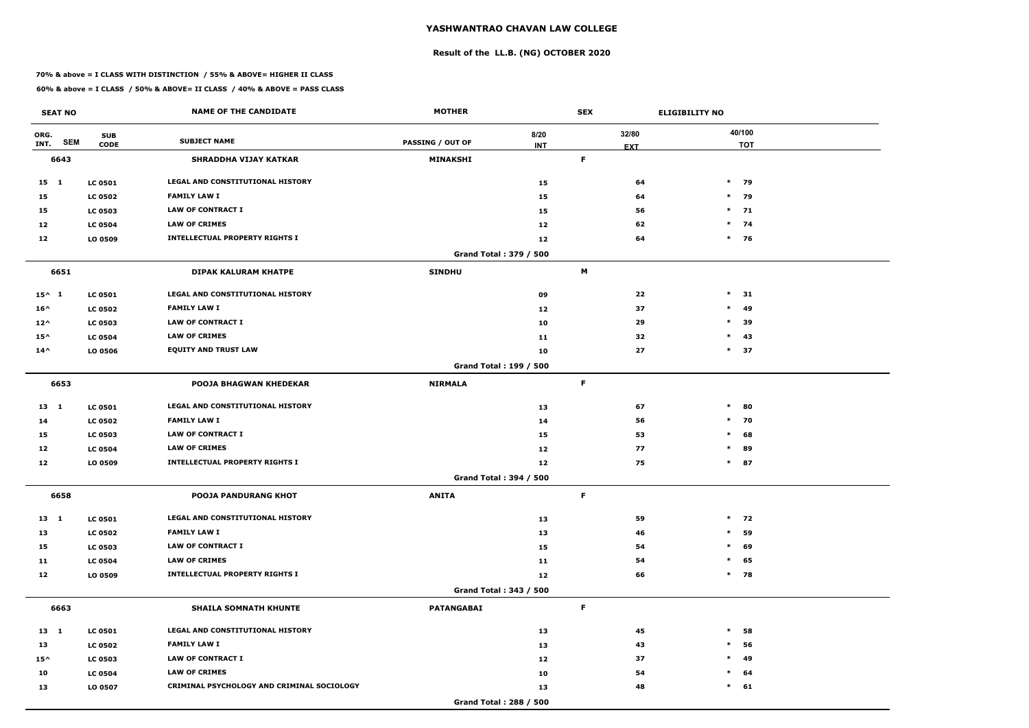# **Result of the LL.B. (NG) OCTOBER 2020**

### **70% & above = I CLASS WITH DISTINCTION / 55% & ABOVE= HIGHER II CLASS**

| <b>SEAT NO</b>  |            |                           | <b>NAME OF THE CANDIDATE</b>               | <b>MOTHER</b>           |                               | <b>SEX</b>     |                     | <b>ELIGIBILITY NO</b> |
|-----------------|------------|---------------------------|--------------------------------------------|-------------------------|-------------------------------|----------------|---------------------|-----------------------|
| ORG.<br>INT.    | <b>SEM</b> | <b>SUB</b><br><b>CODE</b> | <b>SUBJECT NAME</b>                        | <b>PASSING / OUT OF</b> | 8/20<br><b>INT</b>            |                | 32/80<br><b>EXT</b> | 40/100<br><b>TOT</b>  |
| 6643            |            |                           | <b>SHRADDHA VIJAY KATKAR</b>               | MINAKSHI                |                               | F              |                     |                       |
| 15 1            |            | <b>LC 0501</b>            | <b>LEGAL AND CONSTITUTIONAL HISTORY</b>    |                         | 15                            |                | 64                  | $*$ 79                |
| 15              |            | <b>LC 0502</b>            | <b>FAMILY LAW I</b>                        |                         | 15                            |                | 64                  | $*$ 79                |
| 15              |            | <b>LC 0503</b>            | <b>LAW OF CONTRACT I</b>                   |                         | 15                            |                | 56                  | $*$ 71                |
| 12              |            | <b>LC 0504</b>            | <b>LAW OF CRIMES</b>                       |                         | 12                            |                | 62                  | $*$ 74                |
| 12              |            | LO 0509                   | <b>INTELLECTUAL PROPERTY RIGHTS I</b>      |                         | 12                            |                | 64                  | $*$ 76                |
|                 |            |                           |                                            |                         | Grand Total: 379 / 500        |                |                     |                       |
| 6651            |            |                           | <b>DIPAK KALURAM KHATPE</b>                | <b>SINDHU</b>           |                               | $\blacksquare$ |                     |                       |
| $15^{\wedge} 1$ |            | <b>LC 0501</b>            | <b>LEGAL AND CONSTITUTIONAL HISTORY</b>    |                         | 09                            |                | 22                  | $\ast$<br>31          |
| $16^{\wedge}$   |            | <b>LC 0502</b>            | <b>FAMILY LAW I</b>                        |                         | 12                            |                | 37                  | $\ast$<br>49          |
| $12^{\wedge}$   |            | <b>LC 0503</b>            | <b>LAW OF CONTRACT I</b>                   |                         | 10                            |                | 29                  | $\ast$<br>39          |
| $15^{\wedge}$   |            | <b>LC 0504</b>            | <b>LAW OF CRIMES</b>                       |                         | 11                            |                | 32                  | 43<br>$\ast$          |
| $14^{\wedge}$   |            | LO 0506                   | <b>EQUITY AND TRUST LAW</b>                |                         | 10                            |                | 27                  | $\ast$<br>37          |
|                 |            |                           |                                            |                         | <b>Grand Total: 199 / 500</b> |                |                     |                       |
| 6653            |            |                           | <b>POOJA BHAGWAN KHEDEKAR</b>              | <b>NIRMALA</b>          |                               | F              |                     |                       |
| $13 \quad 1$    |            | <b>LC 0501</b>            | LEGAL AND CONSTITUTIONAL HISTORY           |                         | 13                            |                | 67                  | $\ast$<br>80          |
| 14              |            | <b>LC 0502</b>            | <b>FAMILY LAW I</b>                        |                         | 14                            |                | 56                  | $*$ 70                |
| 15              |            | <b>LC 0503</b>            | <b>LAW OF CONTRACT I</b>                   |                         | 15                            |                | 53                  | $\ast$<br>68          |
| 12              |            | <b>LC 0504</b>            | <b>LAW OF CRIMES</b>                       |                         | 12                            |                | 77                  | $\ast$<br>89          |
| 12              |            | LO 0509                   | <b>INTELLECTUAL PROPERTY RIGHTS I</b>      |                         | 12                            |                | 75                  | $\ast$<br>87          |
|                 |            |                           |                                            |                         | <b>Grand Total: 394 / 500</b> |                |                     |                       |
| 6658            |            |                           | POOJA PANDURANG KHOT                       | <b>ANITA</b>            |                               | F              |                     |                       |
| 13 1            |            | <b>LC 0501</b>            | LEGAL AND CONSTITUTIONAL HISTORY           |                         | 13                            |                | 59                  | $*$ 72                |
| 13              |            | <b>LC 0502</b>            | <b>FAMILY LAW I</b>                        |                         | 13                            |                | 46                  | 59<br>$\ast$          |
| 15              |            | <b>LC 0503</b>            | LAW OF CONTRACT I                          |                         | 15                            |                | 54                  | 69<br>$\ast$          |
| 11              |            | <b>LC 0504</b>            | <b>LAW OF CRIMES</b>                       |                         | 11                            |                | 54                  | 65<br>$\ast$          |
| 12              |            | LO 0509                   | <b>INTELLECTUAL PROPERTY RIGHTS I</b>      |                         | 12                            |                | 66                  | 78<br>$\ast$          |
|                 |            |                           |                                            |                         | Grand Total: 343 / 500        |                |                     |                       |
| 6663            |            |                           | <b>SHAILA SOMNATH KHUNTE</b>               | <b>PATANGABAI</b>       |                               | F              |                     |                       |
| 13 1            |            | <b>LC 0501</b>            | LEGAL AND CONSTITUTIONAL HISTORY           |                         | 13                            |                | 45                  | $\ast$<br>58          |
| 13              |            | <b>LC 0502</b>            | <b>FAMILY LAW I</b>                        |                         | 13                            |                | 43                  | $\ast$<br>56          |
| $15^{\wedge}$   |            | <b>LC 0503</b>            | <b>LAW OF CONTRACT I</b>                   |                         | 12                            |                | 37                  | 49<br>$\ast$          |
| 10              |            | <b>LC 0504</b>            | <b>LAW OF CRIMES</b>                       |                         | 10                            |                | 54                  | 64<br>$\ast$          |
| 13              |            | LO 0507                   | CRIMINAL PSYCHOLOGY AND CRIMINAL SOCIOLOGY |                         | 13                            |                | 48                  | $\ast$<br>61          |
|                 |            |                           |                                            |                         | Grand Total: 288 / 500        |                |                     |                       |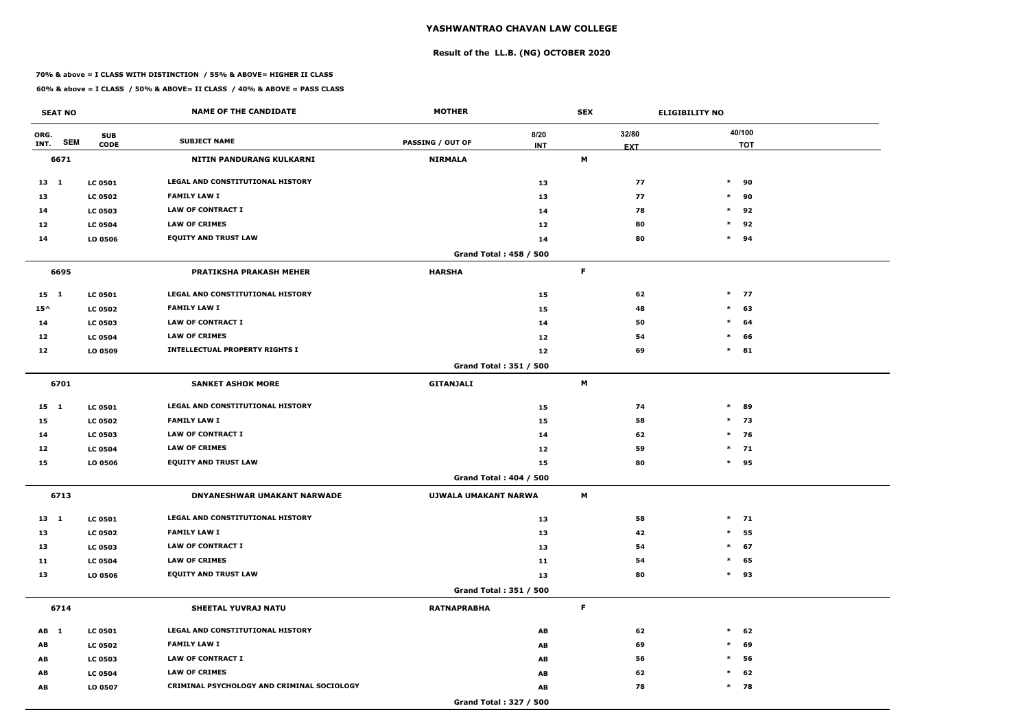# **Result of the LL.B. (NG) OCTOBER 2020**

### **70% & above = I CLASS WITH DISTINCTION / 55% & ABOVE= HIGHER II CLASS**

| <b>SEAT NO</b>             |                           | <b>NAME OF THE CANDIDATE</b>               | <b>MOTHER</b>                 |                    | <b>SEX</b>  |                     | <b>ELIGIBILITY NO</b> |
|----------------------------|---------------------------|--------------------------------------------|-------------------------------|--------------------|-------------|---------------------|-----------------------|
| ORG.<br><b>SEM</b><br>INT. | <b>SUB</b><br><b>CODE</b> | <b>SUBJECT NAME</b>                        | <b>PASSING / OUT OF</b>       | 8/20<br><b>INT</b> |             | 32/80<br><b>EXT</b> | 40/100<br><b>TOT</b>  |
| 6671                       |                           | <b>NITIN PANDURANG KULKARNI</b>            | <b>NIRMALA</b>                |                    | M           |                     |                       |
| $13 \quad 1$               | <b>LC 0501</b>            | <b>LEGAL AND CONSTITUTIONAL HISTORY</b>    |                               | 13                 |             | 77                  | $\ast$<br>90          |
| 13                         | <b>LC 0502</b>            | <b>FAMILY LAW I</b>                        |                               | 13                 |             | 77                  | $\ast$<br>90          |
| 14                         | <b>LC 0503</b>            | <b>LAW OF CONTRACT I</b>                   |                               | 14                 |             | 78                  | $\ast$<br>92          |
| 12                         | <b>LC 0504</b>            | <b>LAW OF CRIMES</b>                       |                               | 12                 |             | 80                  | $\ast$<br>92          |
| 14                         | LO 0506                   | <b>EQUITY AND TRUST LAW</b>                |                               | 14                 |             | 80                  | $\ast$<br>94          |
|                            |                           |                                            | <b>Grand Total: 458 / 500</b> |                    |             |                     |                       |
| 6695                       |                           | <b>PRATIKSHA PRAKASH MEHER</b>             | <b>HARSHA</b>                 |                    | F           |                     |                       |
| $15 \quad 1$               | <b>LC 0501</b>            | LEGAL AND CONSTITUTIONAL HISTORY           |                               | 15                 |             | 62                  | $*$ 77                |
| $15^{\wedge}$              | <b>LC 0502</b>            | <b>FAMILY LAW I</b>                        |                               | 15                 |             | 48                  | 63<br>$\ast$          |
| 14                         | <b>LC 0503</b>            | <b>LAW OF CONTRACT I</b>                   |                               | 14                 |             | 50                  | $\ast$<br>64          |
| 12                         | <b>LC 0504</b>            | <b>LAW OF CRIMES</b>                       |                               | 12                 |             | 54                  | 66<br>$\ast$          |
| 12                         | LO 0509                   | <b>INTELLECTUAL PROPERTY RIGHTS I</b>      |                               | 12                 |             | 69                  | $\ast$<br>81          |
|                            |                           |                                            | Grand Total: 351 / 500        |                    |             |                     |                       |
| 6701                       |                           | <b>SANKET ASHOK MORE</b>                   | <b>GITANJALI</b>              |                    | M           |                     |                       |
| $15 \quad 1$               | <b>LC 0501</b>            | LEGAL AND CONSTITUTIONAL HISTORY           |                               | 15                 |             | 74                  | $\ast$<br>89          |
| 15                         | <b>LC 0502</b>            | <b>FAMILY LAW I</b>                        |                               | 15                 |             | 58                  | $\ast$<br>73          |
| 14                         | <b>LC 0503</b>            | <b>LAW OF CONTRACT I</b>                   |                               | 14                 |             | 62                  | $*$ 76                |
| 12                         | <b>LC 0504</b>            | <b>LAW OF CRIMES</b>                       |                               | 12                 |             | 59                  | $*$ 71                |
| 15                         | LO 0506                   | <b>EQUITY AND TRUST LAW</b>                |                               | 15                 |             | 80                  | $*$ 95                |
|                            |                           |                                            | <b>Grand Total: 404 / 500</b> |                    |             |                     |                       |
| 6713                       |                           | DNYANESHWAR UMAKANT NARWADE                | UJWALA UMAKANT NARWA          |                    | M           |                     |                       |
| 13 1                       | <b>LC 0501</b>            | LEGAL AND CONSTITUTIONAL HISTORY           |                               | 13                 |             | 58                  | $*$ 71                |
| 13                         | <b>LC 0502</b>            | <b>FAMILY LAW I</b>                        |                               | 13                 |             | 42                  | $\ast$<br>55          |
| 13                         | <b>LC 0503</b>            | <b>LAW OF CONTRACT I</b>                   |                               | 13                 |             | 54                  | $\ast$<br>67          |
| 11                         | <b>LC 0504</b>            | <b>LAW OF CRIMES</b>                       |                               | 11                 |             | 54                  | 65<br>$\ast$          |
| 13                         | LO 0506                   | <b>EQUITY AND TRUST LAW</b>                |                               | 13                 |             | 80                  | $\ast$<br>93          |
|                            |                           |                                            | Grand Total: 351 / 500        |                    |             |                     |                       |
| 6714                       |                           | <b>SHEETAL YUVRAJ NATU</b>                 | <b>RATNAPRABHA</b>            |                    | $\mathsf F$ |                     |                       |
| AB 1                       | <b>LC 0501</b>            | LEGAL AND CONSTITUTIONAL HISTORY           |                               | AB                 |             | 62                  | $\ast$<br>62          |
| AB                         | <b>LC 0502</b>            | <b>FAMILY LAW I</b>                        |                               | AB                 |             | 69                  | 69<br>$\ast$          |
| AB                         | <b>LC 0503</b>            | LAW OF CONTRACT I                          |                               | AB                 |             | 56                  | $\ast$<br>56          |
| AB                         | <b>LC 0504</b>            | <b>LAW OF CRIMES</b>                       |                               | AB                 |             | 62                  | 62<br>$\ast$          |
| AB                         | LO 0507                   | CRIMINAL PSYCHOLOGY AND CRIMINAL SOCIOLOGY |                               | AB                 |             | 78                  | $*$ 78                |
|                            |                           |                                            | Grand Total: 327 / 500        |                    |             |                     |                       |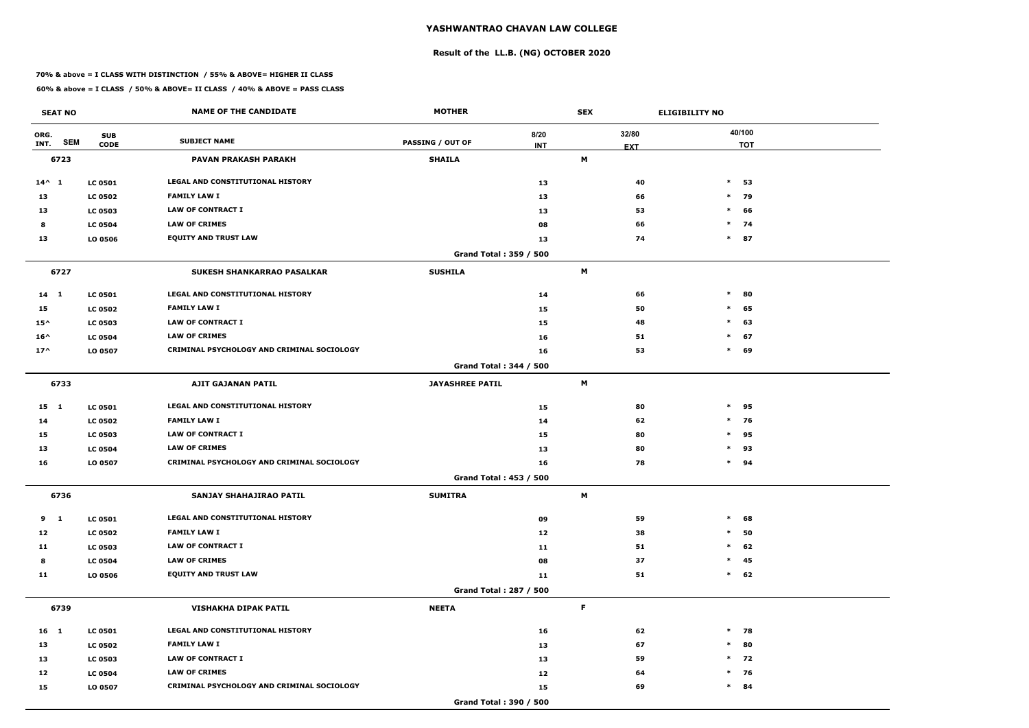# **Result of the LL.B. (NG) OCTOBER 2020**

### **70% & above = I CLASS WITH DISTINCTION / 55% & ABOVE= HIGHER II CLASS**

| <b>SEAT NO</b>     |                | <b>NAME OF THE CANDIDATE</b>               | <b>MOTHER</b>                 |            | <b>SEX</b>  |            | <b>ELIGIBILITY NO</b> |
|--------------------|----------------|--------------------------------------------|-------------------------------|------------|-------------|------------|-----------------------|
| ORG.               | <b>SUB</b>     |                                            |                               | 8/20       |             | 32/80      | 40/100                |
| <b>SEM</b><br>INT. | <b>CODE</b>    | <b>SUBJECT NAME</b>                        | <b>PASSING / OUT OF</b>       | <b>INT</b> |             | <b>EXT</b> | <b>TOT</b>            |
| 6723               |                | <b>PAVAN PRAKASH PARAKH</b>                | <b>SHAILA</b>                 |            | M           |            |                       |
| $14^{\wedge} 1$    | <b>LC 0501</b> | <b>LEGAL AND CONSTITUTIONAL HISTORY</b>    |                               | 13         |             | 40         | $\ast$<br>53          |
| 13                 | <b>LC 0502</b> | <b>FAMILY LAW I</b>                        |                               | 13         |             | 66         | $*$<br>79             |
| 13                 | <b>LC 0503</b> | <b>LAW OF CONTRACT I</b>                   |                               | 13         |             | 53         | $\ast$<br>66          |
| 8                  | <b>LC 0504</b> | <b>LAW OF CRIMES</b>                       |                               | 08         |             | 66         | $*$ 74                |
| 13                 | LO 0506        | <b>EQUITY AND TRUST LAW</b>                |                               | 13         |             | 74         | $\ast$<br>87          |
|                    |                |                                            | Grand Total: 359 / 500        |            |             |            |                       |
| 6727               |                | SUKESH SHANKARRAO PASALKAR                 | <b>SUSHILA</b>                |            | M           |            |                       |
| $14$ 1             | <b>LC 0501</b> | <b>LEGAL AND CONSTITUTIONAL HISTORY</b>    |                               | 14         |             | 66         | $\ast$<br>80          |
| 15                 | <b>LC 0502</b> | <b>FAMILY LAW I</b>                        |                               | 15         |             | 50         | $\ast$<br>65          |
| $15^{\wedge}$      | <b>LC 0503</b> | <b>LAW OF CONTRACT I</b>                   |                               | 15         |             | 48         | $\ast$<br>63          |
| $16^{\wedge}$      | <b>LC 0504</b> | <b>LAW OF CRIMES</b>                       |                               | 16         |             | 51         | 67<br>$\ast$          |
| $17^{\wedge}$      | LO 0507        | CRIMINAL PSYCHOLOGY AND CRIMINAL SOCIOLOGY |                               | 16         |             | 53         | $\ast$<br>69          |
|                    |                |                                            | <b>Grand Total: 344 / 500</b> |            |             |            |                       |
| 6733               |                | <b>AJIT GAJANAN PATIL</b>                  | <b>JAYASHREE PATIL</b>        |            | M           |            |                       |
| $15 \quad 1$       | <b>LC 0501</b> | LEGAL AND CONSTITUTIONAL HISTORY           |                               | 15         |             | 80         | $\ast$<br>95          |
| 14                 | <b>LC 0502</b> | <b>FAMILY LAW I</b>                        |                               | 14         |             | 62         | $\ast$<br>76          |
| 15                 | <b>LC 0503</b> | <b>LAW OF CONTRACT I</b>                   |                               | 15         |             | 80         | $\ast$<br>95          |
| 13                 | <b>LC 0504</b> | <b>LAW OF CRIMES</b>                       |                               | 13         |             | 80         | 93<br>$\ast$          |
| 16                 | LO 0507        | CRIMINAL PSYCHOLOGY AND CRIMINAL SOCIOLOGY |                               | 16         |             | 78         | $\ast$<br>94          |
|                    |                |                                            | <b>Grand Total: 453 / 500</b> |            |             |            |                       |
| 6736               |                | SANJAY SHAHAJIRAO PATIL                    | <b>SUMITRA</b>                |            | M           |            |                       |
| $9 \quad 1$        | <b>LC 0501</b> | LEGAL AND CONSTITUTIONAL HISTORY           |                               | 09         |             | 59         | $\ast$<br>68          |
| 12                 | <b>LC 0502</b> | <b>FAMILY LAW I</b>                        |                               | 12         |             | 38         | 50<br>$\ast$          |
| 11                 | <b>LC 0503</b> | LAW OF CONTRACT I                          |                               | 11         |             | 51         | $\ast$<br>62          |
| 8                  | <b>LC 0504</b> | <b>LAW OF CRIMES</b>                       |                               | 08         |             | 37         | $\ast$<br>45          |
| 11                 | LO 0506        | <b>EQUITY AND TRUST LAW</b>                |                               | 11         |             | 51         | $\ast$<br>62          |
|                    |                |                                            | Grand Total: 287 / 500        |            |             |            |                       |
| 6739               |                | <b>VISHAKHA DIPAK PATIL</b>                | <b>NEETA</b>                  |            | $\mathsf F$ |            |                       |
| 16 1               | <b>LC 0501</b> | LEGAL AND CONSTITUTIONAL HISTORY           |                               | 16         |             | 62         | $*$ 78                |
| 13                 | <b>LC 0502</b> | <b>FAMILY LAW I</b>                        |                               | 13         |             | 67         | $\ast$<br>80          |
| 13                 | <b>LC 0503</b> | LAW OF CONTRACT I                          |                               | 13         |             | 59         | $*$ 72                |
| 12                 | <b>LC 0504</b> | <b>LAW OF CRIMES</b>                       |                               | 12         |             | 64         | $*$ 76                |
| 15                 | LO 0507        | CRIMINAL PSYCHOLOGY AND CRIMINAL SOCIOLOGY |                               | 15         |             | 69         | $*$ 84                |
|                    |                |                                            | Grand Total: 390 / 500        |            |             |            |                       |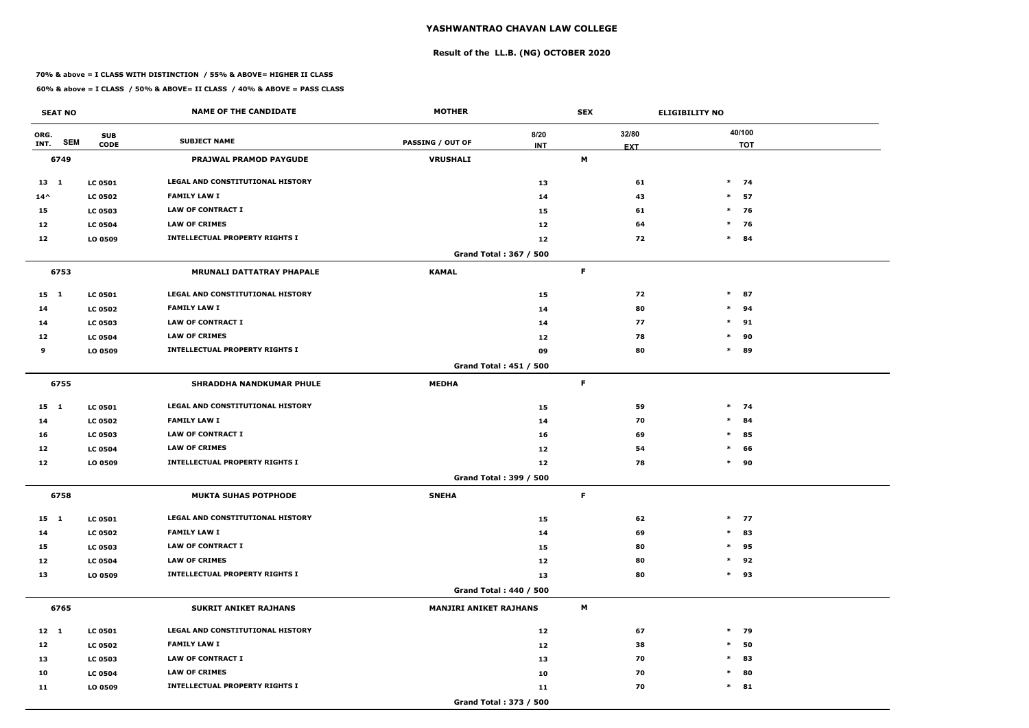# **Result of the LL.B. (NG) OCTOBER 2020**

### **70% & above = I CLASS WITH DISTINCTION / 55% & ABOVE= HIGHER II CLASS**

| <b>SEAT NO</b>     |                | <b>NAME OF THE CANDIDATE</b>            | <b>MOTHER</b>                 |            | <b>SEX</b> |            | <b>ELIGIBILITY NO</b> |
|--------------------|----------------|-----------------------------------------|-------------------------------|------------|------------|------------|-----------------------|
| ORG.               | <b>SUB</b>     |                                         |                               | 8/20       |            | 32/80      | 40/100                |
| <b>SEM</b><br>INT. | <b>CODE</b>    | <b>SUBJECT NAME</b>                     | <b>PASSING / OUT OF</b>       | <b>INT</b> |            | <b>EXT</b> | <b>TOT</b>            |
| 6749               |                | <b>PRAJWAL PRAMOD PAYGUDE</b>           | <b>VRUSHALI</b>               |            | M          |            |                       |
| 13 1               | <b>LC 0501</b> | <b>LEGAL AND CONSTITUTIONAL HISTORY</b> |                               | 13         |            | 61         | $*$ 74                |
| $14^{\wedge}$      | <b>LC 0502</b> | <b>FAMILY LAW I</b>                     |                               | 14         |            | 43         | $\ast$<br>57          |
| 15                 | <b>LC 0503</b> | <b>LAW OF CONTRACT I</b>                |                               | 15         |            | 61         | $\ast$<br>76          |
| 12                 | <b>LC 0504</b> | <b>LAW OF CRIMES</b>                    |                               | 12         |            | 64         | $*$ 76                |
| 12                 | LO 0509        | <b>INTELLECTUAL PROPERTY RIGHTS I</b>   |                               | 12         |            | 72         | $\ast$<br>84          |
|                    |                |                                         | Grand Total: 367 / 500        |            |            |            |                       |
| 6753               |                | <b>MRUNALI DATTATRAY PHAPALE</b>        | <b>KAMAL</b>                  |            | F          |            |                       |
| 15 1               | <b>LC 0501</b> | <b>LEGAL AND CONSTITUTIONAL HISTORY</b> |                               | 15         |            | 72         | $\ast$<br>87          |
| 14                 | <b>LC 0502</b> | <b>FAMILY LAW I</b>                     |                               | 14         |            | 80         | $\ast$<br>94          |
| 14                 | <b>LC 0503</b> | <b>LAW OF CONTRACT I</b>                |                               | 14         |            | 77         | $\ast$<br>91          |
| 12                 | <b>LC 0504</b> | <b>LAW OF CRIMES</b>                    |                               | 12         |            | 78         | 90<br>$\ast$          |
| 9                  | LO 0509        | <b>INTELLECTUAL PROPERTY RIGHTS I</b>   |                               | 09         |            | 80         | $\ast$<br>89          |
|                    |                |                                         | <b>Grand Total: 451 / 500</b> |            |            |            |                       |
| 6755               |                | <b>SHRADDHA NANDKUMAR PHULE</b>         | <b>MEDHA</b>                  |            | F          |            |                       |
| $15 \quad 1$       | <b>LC 0501</b> | LEGAL AND CONSTITUTIONAL HISTORY        |                               | 15         |            | 59         | $*$ 74                |
| 14                 | <b>LC 0502</b> | <b>FAMILY LAW I</b>                     |                               | 14         |            | 70         | $\ast$<br>84          |
| 16                 | <b>LC 0503</b> | <b>LAW OF CONTRACT I</b>                |                               | 16         |            | 69         | $\ast$<br>85          |
| 12                 | <b>LC 0504</b> | <b>LAW OF CRIMES</b>                    |                               | 12         |            | 54         | $\ast$<br>66          |
| 12                 | LO 0509        | <b>INTELLECTUAL PROPERTY RIGHTS I</b>   |                               | 12         |            | 78         | $\ast$<br>90          |
|                    |                |                                         | <b>Grand Total: 399 / 500</b> |            |            |            |                       |
| 6758               |                | <b>MUKTA SUHAS POTPHODE</b>             | <b>SNEHA</b>                  |            | F.         |            |                       |
| 15 1               | <b>LC 0501</b> | LEGAL AND CONSTITUTIONAL HISTORY        |                               | 15         |            | 62         | $*$ 77                |
| 14                 | <b>LC 0502</b> | <b>FAMILY LAW I</b>                     |                               | 14         |            | 69         | 83<br>$\ast$          |
| 15                 | <b>LC 0503</b> | LAW OF CONTRACT I                       |                               | 15         |            | 80         | $\ast$<br>95          |
| 12                 | <b>LC 0504</b> | <b>LAW OF CRIMES</b>                    |                               | 12         |            | 80         | 92<br>$\ast$          |
| 13                 | LO 0509        | <b>INTELLECTUAL PROPERTY RIGHTS I</b>   |                               | 13         |            | 80         | $*$ 93                |
|                    |                |                                         | Grand Total: 440 / 500        |            |            |            |                       |
| 6765               |                | <b>SUKRIT ANIKET RAJHANS</b>            | <b>MANJIRI ANIKET RAJHANS</b> |            | M          |            |                       |
| 12 1               | <b>LC 0501</b> | LEGAL AND CONSTITUTIONAL HISTORY        |                               | 12         |            | 67         | $*$ 79                |
| 12                 | <b>LC 0502</b> | <b>FAMILY LAW I</b>                     |                               | 12         |            | 38         | $\ast$<br>50          |
| 13                 | <b>LC 0503</b> | LAW OF CONTRACT I                       |                               | 13         |            | 70         | 83<br>$\ast$          |
| 10                 | <b>LC 0504</b> | <b>LAW OF CRIMES</b>                    |                               | 10         |            | 70         | 80<br>$\ast$          |
| 11                 | LO 0509        | <b>INTELLECTUAL PROPERTY RIGHTS I</b>   |                               | 11         |            | 70         | $\ast$<br>81          |
|                    |                |                                         | Grand Total: 373 / 500        |            |            |            |                       |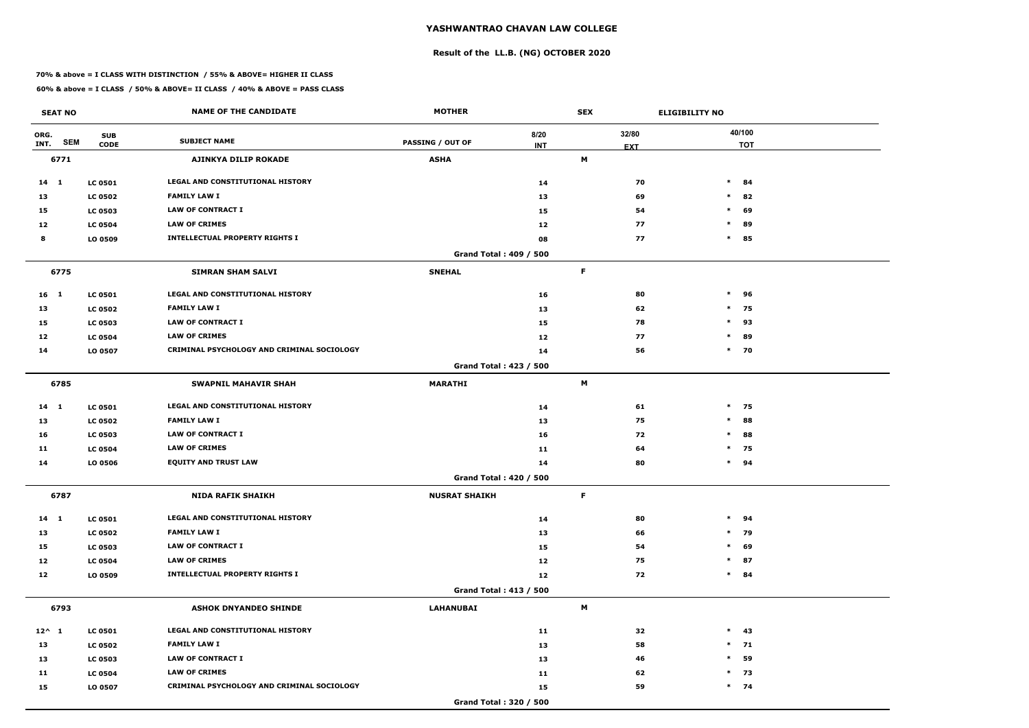# **Result of the LL.B. (NG) OCTOBER 2020**

### **70% & above = I CLASS WITH DISTINCTION / 55% & ABOVE= HIGHER II CLASS**

| <b>SEAT NO</b>  |            |                           | <b>NAME OF THE CANDIDATE</b>               | <b>MOTHER</b>                 |                    | <b>SEX</b> |                     | <b>ELIGIBILITY NO</b> |
|-----------------|------------|---------------------------|--------------------------------------------|-------------------------------|--------------------|------------|---------------------|-----------------------|
| ORG.<br>INT.    | <b>SEM</b> | <b>SUB</b><br><b>CODE</b> | <b>SUBJECT NAME</b>                        | <b>PASSING / OUT OF</b>       | 8/20<br><b>INT</b> |            | 32/80<br><b>EXT</b> | 40/100<br><b>TOT</b>  |
| 6771            |            |                           | AJINKYA DILIP ROKADE                       | <b>ASHA</b>                   |                    | M          |                     |                       |
| 14 1            |            | <b>LC 0501</b>            | <b>LEGAL AND CONSTITUTIONAL HISTORY</b>    |                               | 14                 |            | 70                  | $\ast$<br>84          |
| 13              |            | <b>LC 0502</b>            | <b>FAMILY LAW I</b>                        |                               | 13                 |            | 69                  | $\ast$<br>82          |
| 15              |            | <b>LC 0503</b>            | <b>LAW OF CONTRACT I</b>                   |                               | 15                 |            | 54                  | $\ast$<br>69          |
| 12              |            | <b>LC 0504</b>            | <b>LAW OF CRIMES</b>                       |                               | 12                 |            | 77                  | $\ast$<br>89          |
| 8               |            | LO 0509                   | <b>INTELLECTUAL PROPERTY RIGHTS I</b>      |                               | 08                 |            | 77                  | 85<br>$\ast$          |
|                 |            |                           |                                            | <b>Grand Total: 409 / 500</b> |                    |            |                     |                       |
| 6775            |            |                           | <b>SIMRAN SHAM SALVI</b>                   | <b>SNEHAL</b>                 |                    | F          |                     |                       |
| 16 <sub>1</sub> |            | <b>LC 0501</b>            | LEGAL AND CONSTITUTIONAL HISTORY           |                               | 16                 |            | 80                  | $\ast$<br>96          |
| 13              |            | <b>LC 0502</b>            | <b>FAMILY LAW I</b>                        |                               | 13                 |            | 62                  | $\ast$<br>75          |
| 15              |            | <b>LC 0503</b>            | <b>LAW OF CONTRACT I</b>                   |                               | 15                 |            | 78                  | $\ast$<br>93          |
| 12              |            | <b>LC 0504</b>            | <b>LAW OF CRIMES</b>                       |                               | 12                 |            | 77                  | 89<br>$\ast$          |
| 14              |            | LO 0507                   | CRIMINAL PSYCHOLOGY AND CRIMINAL SOCIOLOGY |                               | 14                 |            | 56                  | $*$<br>70             |
|                 |            |                           |                                            | Grand Total: 423 / 500        |                    |            |                     |                       |
| 6785            |            |                           | <b>SWAPNIL MAHAVIR SHAH</b>                | <b>MARATHI</b>                |                    | M          |                     |                       |
| 14 1            |            | <b>LC 0501</b>            | LEGAL AND CONSTITUTIONAL HISTORY           |                               | 14                 |            | 61                  | $*$ 75                |
| 13              |            | <b>LC 0502</b>            | <b>FAMILY LAW I</b>                        |                               | 13                 |            | 75                  | $\ast$<br>88          |
| 16              |            | <b>LC 0503</b>            | <b>LAW OF CONTRACT I</b>                   |                               | 16                 |            | 72                  | $\ast$<br>88          |
| 11              |            | <b>LC 0504</b>            | <b>LAW OF CRIMES</b>                       |                               | 11                 |            | 64                  | $*$ 75                |
| 14              |            | LO 0506                   | <b>EQUITY AND TRUST LAW</b>                |                               | 14                 |            | 80                  | $*$ 94                |
|                 |            |                           |                                            | <b>Grand Total: 420 / 500</b> |                    |            |                     |                       |
| 6787            |            |                           | <b>NIDA RAFIK SHAIKH</b>                   | <b>NUSRAT SHAIKH</b>          |                    | F          |                     |                       |
| $14 \quad 1$    |            | <b>LC 0501</b>            | LEGAL AND CONSTITUTIONAL HISTORY           |                               | 14                 |            | 80                  | $\ast$<br>94          |
| 13              |            | <b>LC 0502</b>            | <b>FAMILY LAW I</b>                        |                               | 13                 |            | 66                  | $*$ 79                |
| 15              |            | <b>LC 0503</b>            | LAW OF CONTRACT I                          |                               | 15                 |            | 54                  | 69<br>$\ast$          |
| 12              |            | <b>LC 0504</b>            | <b>LAW OF CRIMES</b>                       |                               | 12                 |            | 75                  | 87<br>$\ast$          |
| 12              |            | LO 0509                   | <b>INTELLECTUAL PROPERTY RIGHTS I</b>      |                               | 12                 |            | 72                  | $*$ 84                |
|                 |            |                           |                                            | Grand Total: 413 / 500        |                    |            |                     |                       |
| 6793            |            |                           | <b>ASHOK DNYANDEO SHINDE</b>               | <b>LAHANUBAI</b>              |                    | M          |                     |                       |
| $12^{\wedge} 1$ |            | <b>LC 0501</b>            | LEGAL AND CONSTITUTIONAL HISTORY           |                               | 11                 |            | 32                  | $*$ 43                |
| 13              |            | <b>LC 0502</b>            | <b>FAMILY LAW I</b>                        |                               | 13                 |            | 58                  | $*$ 71                |
| 13              |            | <b>LC 0503</b>            | LAW OF CONTRACT I                          |                               | 13                 |            | 46                  | 59<br>$\ast$          |
| 11              |            | <b>LC 0504</b>            | <b>LAW OF CRIMES</b>                       |                               | 11                 |            | 62                  | $*$ 73                |
| 15              |            | LO 0507                   | CRIMINAL PSYCHOLOGY AND CRIMINAL SOCIOLOGY |                               | 15                 |            | 59                  | $*$ 74                |
|                 |            |                           |                                            | Grand Total: 320 / 500        |                    |            |                     |                       |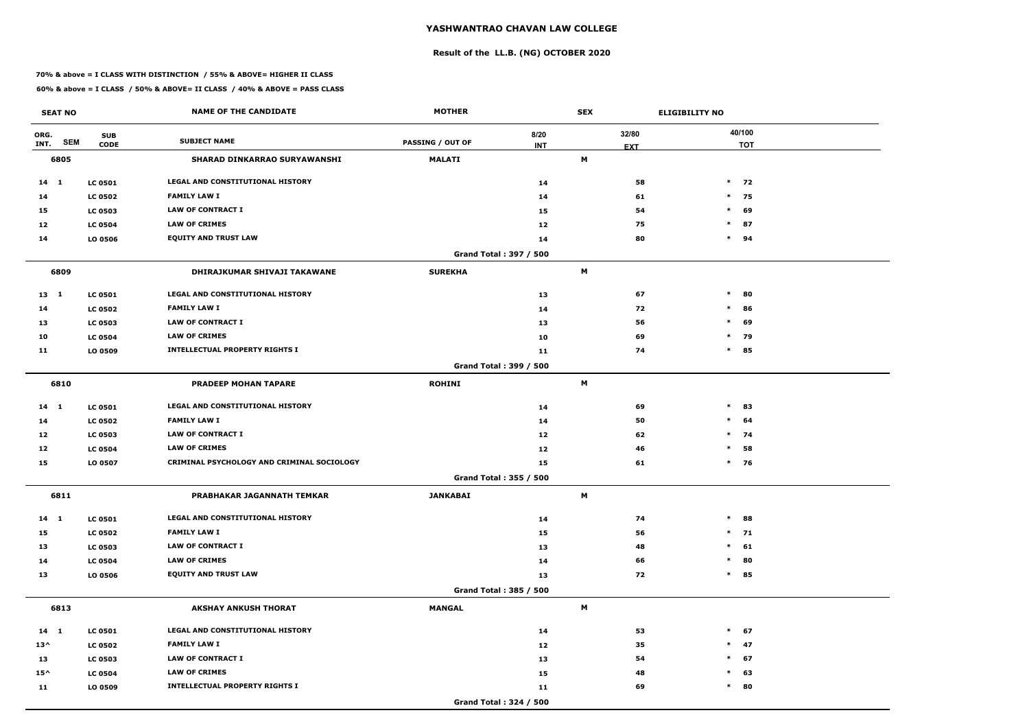# **Result of the LL.B. (NG) OCTOBER 2020**

### **70% & above = I CLASS WITH DISTINCTION / 55% & ABOVE= HIGHER II CLASS**

| <b>SEAT NO</b> |            |                           | <b>NAME OF THE CANDIDATE</b>               | <b>MOTHER</b>           |                               | <b>SEX</b> |                     | <b>ELIGIBILITY NO</b> |
|----------------|------------|---------------------------|--------------------------------------------|-------------------------|-------------------------------|------------|---------------------|-----------------------|
| ORG.<br>INT.   | <b>SEM</b> | <b>SUB</b><br><b>CODE</b> | <b>SUBJECT NAME</b>                        | <b>PASSING / OUT OF</b> | 8/20<br><b>INT</b>            |            | 32/80<br><b>EXT</b> | 40/100<br><b>TOT</b>  |
| 6805           |            |                           | <b>SHARAD DINKARRAO SURYAWANSHI</b>        | <b>MALATI</b>           |                               | M          |                     |                       |
| $14 \quad 1$   |            | <b>LC 0501</b>            | <b>LEGAL AND CONSTITUTIONAL HISTORY</b>    |                         | 14                            |            | 58                  | $*$ 72                |
| 14             |            | <b>LC 0502</b>            | <b>FAMILY LAW I</b>                        |                         | 14                            |            | 61                  | $*$ 75                |
| 15             |            | <b>LC 0503</b>            | <b>LAW OF CONTRACT I</b>                   |                         | 15                            |            | 54                  | 69<br>$\ast$          |
| 12             |            | <b>LC 0504</b>            | <b>LAW OF CRIMES</b>                       |                         | 12                            |            | 75                  | $\ast$<br>87          |
| 14             |            | LO 0506                   | <b>EQUITY AND TRUST LAW</b>                |                         | 14                            |            | 80                  | $*$ 94                |
|                |            |                           |                                            |                         | <b>Grand Total: 397 / 500</b> |            |                     |                       |
| 6809           |            |                           | DHIRAJKUMAR SHIVAJI TAKAWANE               | <b>SUREKHA</b>          |                               | M          |                     |                       |
| 13 1           |            | <b>LC 0501</b>            | LEGAL AND CONSTITUTIONAL HISTORY           |                         | 13                            |            | 67                  | $\ast$<br>80          |
| 14             |            | <b>LC 0502</b>            | <b>FAMILY LAW I</b>                        |                         | 14                            |            | 72                  | $\ast$<br>86          |
| 13             |            | <b>LC 0503</b>            | <b>LAW OF CONTRACT I</b>                   |                         | 13                            |            | 56                  | $\ast$<br>69          |
| 10             |            | <b>LC 0504</b>            | <b>LAW OF CRIMES</b>                       |                         | 10                            |            | 69                  | $*$ 79                |
| 11             |            | LO 0509                   | <b>INTELLECTUAL PROPERTY RIGHTS I</b>      |                         | 11                            |            | 74                  | $\ast$<br>85          |
|                |            |                           |                                            |                         | Grand Total: 399 / 500        |            |                     |                       |
| 6810           |            |                           | <b>PRADEEP MOHAN TAPARE</b>                | <b>ROHINI</b>           |                               | M          |                     |                       |
| 14 1           |            | <b>LC 0501</b>            | <b>LEGAL AND CONSTITUTIONAL HISTORY</b>    |                         | 14                            |            | 69                  | $\ast$<br>83          |
| 14             |            | <b>LC 0502</b>            | <b>FAMILY LAW I</b>                        |                         | 14                            |            | 50                  | $\ast$<br>64          |
| 12             |            | <b>LC 0503</b>            | <b>LAW OF CONTRACT I</b>                   |                         | 12                            |            | 62                  | $*$ 74                |
| 12             |            | <b>LC 0504</b>            | <b>LAW OF CRIMES</b>                       |                         | 12                            |            | 46                  | 58<br>$\ast$          |
| 15             |            | LO 0507                   | CRIMINAL PSYCHOLOGY AND CRIMINAL SOCIOLOGY |                         | 15                            |            | 61                  | $*$ 76                |
|                |            |                           |                                            |                         | Grand Total: 355 / 500        |            |                     |                       |
| 6811           |            |                           | PRABHAKAR JAGANNATH TEMKAR                 | <b>JANKABAI</b>         |                               | M          |                     |                       |
| $14$ 1         |            | <b>LC 0501</b>            | LEGAL AND CONSTITUTIONAL HISTORY           |                         | 14                            |            | 74                  | $\ast$<br>88          |
| 15             |            | <b>LC 0502</b>            | <b>FAMILY LAW I</b>                        |                         | 15                            |            | 56                  | $*$ 71                |
| 13             |            | <b>LC 0503</b>            | LAW OF CONTRACT I                          |                         | 13                            |            | 48                  | $\ast$<br>61          |
| 14             |            | <b>LC 0504</b>            | <b>LAW OF CRIMES</b>                       |                         | 14                            |            | 66                  | 80<br>$\ast$          |
| 13             |            | LO 0506                   | <b>EQUITY AND TRUST LAW</b>                |                         | 13                            |            | 72                  | 85<br>$\ast$          |
|                |            |                           |                                            |                         | Grand Total: 385 / 500        |            |                     |                       |
| 6813           |            |                           | <b>AKSHAY ANKUSH THORAT</b>                | <b>MANGAL</b>           |                               | M          |                     |                       |
| $14 \quad 1$   |            | <b>LC 0501</b>            | LEGAL AND CONSTITUTIONAL HISTORY           |                         | 14                            |            | 53                  | $*$<br>67             |
| $13^{\wedge}$  |            | <b>LC 0502</b>            | <b>FAMILY LAW I</b>                        |                         | 12                            |            | 35                  | $*$ 47                |
| 13             |            | <b>LC 0503</b>            | LAW OF CONTRACT I                          |                         | 13                            |            | 54                  | $\ast$<br>67          |
| $15^{\wedge}$  |            | <b>LC 0504</b>            | <b>LAW OF CRIMES</b>                       |                         | 15                            |            | 48                  | $\ast$<br>63          |
| 11             |            | LO 0509                   | <b>INTELLECTUAL PROPERTY RIGHTS I</b>      |                         | 11                            |            | 69                  | $\ast$<br>80          |
|                |            |                           |                                            |                         | Grand Total: 324 / 500        |            |                     |                       |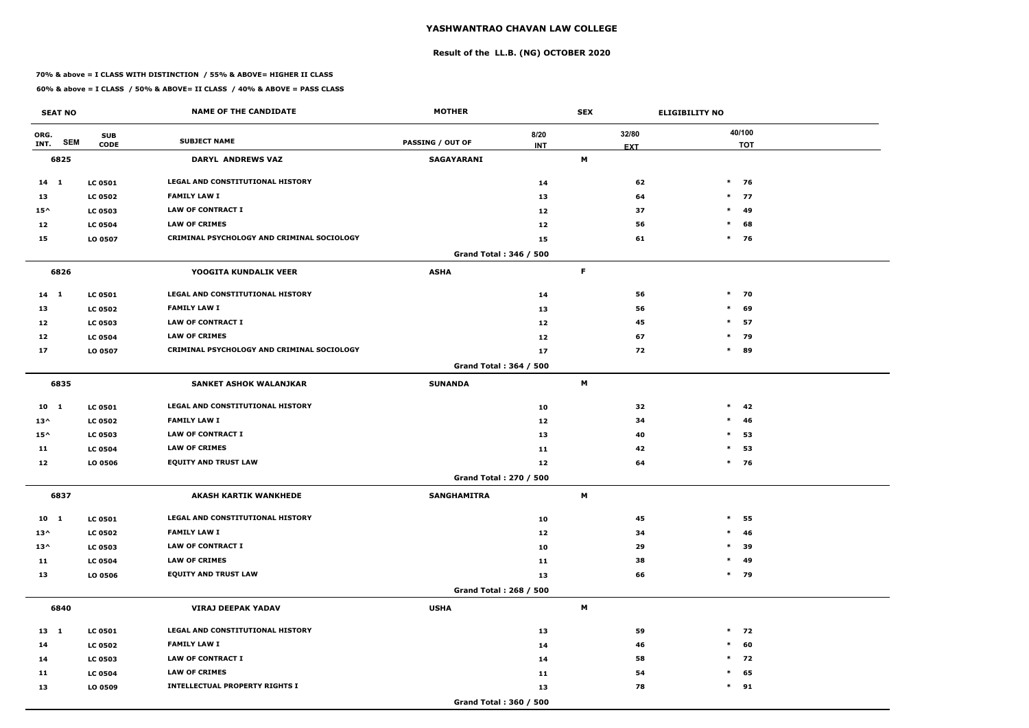# **Result of the LL.B. (NG) OCTOBER 2020**

### **70% & above = I CLASS WITH DISTINCTION / 55% & ABOVE= HIGHER II CLASS**

| <b>SEAT NO</b>             |                           | <b>NAME OF THE CANDIDATE</b>               | <b>MOTHER</b>                 |                    | <b>SEX</b> |                     | <b>ELIGIBILITY NO</b> |
|----------------------------|---------------------------|--------------------------------------------|-------------------------------|--------------------|------------|---------------------|-----------------------|
| ORG.<br><b>SEM</b><br>INT. | <b>SUB</b><br><b>CODE</b> | <b>SUBJECT NAME</b>                        | <b>PASSING / OUT OF</b>       | 8/20<br><b>INT</b> |            | 32/80<br><b>EXT</b> | 40/100<br><b>TOT</b>  |
| 6825                       |                           | <b>DARYL ANDREWS VAZ</b>                   | SAGAYARANI                    |                    | M          |                     |                       |
| 14 1                       | <b>LC 0501</b>            | <b>LEGAL AND CONSTITUTIONAL HISTORY</b>    |                               | 14                 |            | 62                  | $*$ 76                |
| 13                         | <b>LC 0502</b>            | <b>FAMILY LAW I</b>                        |                               | 13                 |            | 64                  | $*$ 77                |
| $15^{\wedge}$              | <b>LC 0503</b>            | <b>LAW OF CONTRACT I</b>                   |                               | 12                 |            | 37                  | $\ast$<br>49          |
| 12                         | <b>LC 0504</b>            | <b>LAW OF CRIMES</b>                       |                               | 12                 |            | 56                  | $\ast$<br>68          |
| 15                         | LO 0507                   | CRIMINAL PSYCHOLOGY AND CRIMINAL SOCIOLOGY |                               | 15                 |            | 61                  | $*$ 76                |
|                            |                           |                                            | Grand Total: 346 / 500        |                    |            |                     |                       |
| 6826                       |                           | YOOGITA KUNDALIK VEER                      | <b>ASHA</b>                   |                    | F          |                     |                       |
| $14$ 1                     | <b>LC 0501</b>            | LEGAL AND CONSTITUTIONAL HISTORY           |                               | 14                 |            | 56                  | $*$ 70                |
| 13                         | <b>LC 0502</b>            | <b>FAMILY LAW I</b>                        |                               | 13                 |            | 56                  | 69<br>$\ast$          |
| 12                         | <b>LC 0503</b>            | <b>LAW OF CONTRACT I</b>                   |                               | 12                 |            | 45                  | $\ast$<br>57          |
| 12                         | <b>LC 0504</b>            | <b>LAW OF CRIMES</b>                       |                               | 12                 |            | 67                  | $*$ 79                |
| 17                         | LO 0507                   | CRIMINAL PSYCHOLOGY AND CRIMINAL SOCIOLOGY |                               | 17                 |            | 72                  | $\ast$<br>89          |
|                            |                           |                                            | Grand Total: 364 / 500        |                    |            |                     |                       |
| 6835                       |                           | <b>SANKET ASHOK WALANJKAR</b>              | <b>SUNANDA</b>                |                    | M          |                     |                       |
| 10 <sub>1</sub>            | <b>LC 0501</b>            | LEGAL AND CONSTITUTIONAL HISTORY           |                               | 10                 |            | 32                  | $\ast$<br>42          |
| $13^{\wedge}$              | <b>LC 0502</b>            | <b>FAMILY LAW I</b>                        |                               | 12                 |            | 34                  | $\ast$<br>46          |
| $15^{\wedge}$              | <b>LC 0503</b>            | <b>LAW OF CONTRACT I</b>                   |                               | 13                 |            | 40                  | $\ast$<br>53          |
| 11                         | <b>LC 0504</b>            | <b>LAW OF CRIMES</b>                       |                               | 11                 |            | 42                  | 53<br>$\ast$          |
| 12                         | LO 0506                   | <b>EQUITY AND TRUST LAW</b>                |                               | 12                 |            | 64                  | $*$ 76                |
|                            |                           |                                            | <b>Grand Total: 270 / 500</b> |                    |            |                     |                       |
| 6837                       |                           | <b>AKASH KARTIK WANKHEDE</b>               | <b>SANGHAMITRA</b>            |                    | M          |                     |                       |
| $10 \quad 1$               | <b>LC 0501</b>            | LEGAL AND CONSTITUTIONAL HISTORY           |                               | 10                 |            | 45                  | $\ast$<br>55          |
| $13^{\wedge}$              | <b>LC 0502</b>            | <b>FAMILY LAW I</b>                        |                               | 12                 |            | 34                  | 46<br>$\ast$          |
| $13^{\wedge}$              | <b>LC 0503</b>            | LAW OF CONTRACT I                          |                               | 10                 |            | 29                  | 39<br>$\ast$          |
| 11                         | <b>LC 0504</b>            | <b>LAW OF CRIMES</b>                       |                               | 11                 |            | 38                  | 49<br>$\ast$          |
| 13                         | LO 0506                   | <b>EQUITY AND TRUST LAW</b>                |                               | 13                 |            | 66                  | $*$ 79                |
|                            |                           |                                            | Grand Total: 268 / 500        |                    |            |                     |                       |
| 6840                       |                           | <b>VIRAJ DEEPAK YADAV</b>                  | <b>USHA</b>                   |                    | M          |                     |                       |
| 13 1                       | <b>LC 0501</b>            | LEGAL AND CONSTITUTIONAL HISTORY           |                               | 13                 |            | 59                  | $*$ 72                |
| 14                         | <b>LC 0502</b>            | <b>FAMILY LAW I</b>                        |                               | 14                 |            | 46                  | $\ast$<br>60          |
| 14                         | <b>LC 0503</b>            | LAW OF CONTRACT I                          |                               | 14                 |            | 58                  | $*$ 72                |
| 11                         | <b>LC 0504</b>            | <b>LAW OF CRIMES</b>                       |                               | 11                 |            | 54                  | 65<br>$\ast$          |
| 13                         | LO 0509                   | <b>INTELLECTUAL PROPERTY RIGHTS I</b>      |                               | 13                 |            | 78                  | $*$ 91                |
|                            |                           |                                            | Grand Total: 360 / 500        |                    |            |                     |                       |